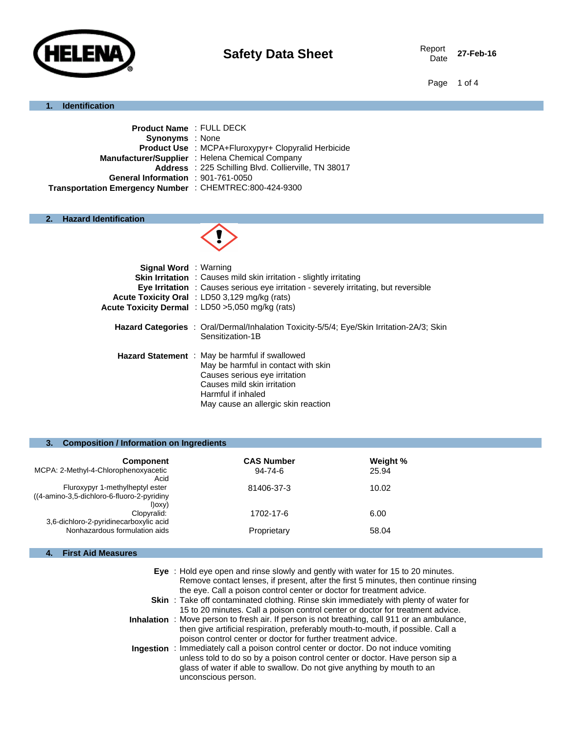

Date **27-Feb-16**

Page 1 of 4

## **1. Identification**

| <b>Product Name: FULL DECK</b>                             |
|------------------------------------------------------------|
|                                                            |
| <b>Product Use : MCPA+Fluroxypyr+ Clopyralid Herbicide</b> |
| Manufacturer/Supplier : Helena Chemical Company            |
| Address : 225 Schilling Blvd. Collierville, TN 38017       |
| General Information : 901-761-0050                         |
| Transportation Emergency Number : CHEMTREC:800-424-9300    |
|                                                            |

# **2. Hazard Identification**



| <b>Signal Word</b> : Warning | <b>Skin Irritation</b> : Causes mild skin irritation - slightly irritating<br><b>Eye Irritation</b> : Causes serious eye irritation - severely irritating, but reversible<br>Acute Toxicity Oral : LD50 3,129 mg/kg (rats)<br>Acute Toxicity Dermal : LD50 >5,050 mg/kg (rats) |
|------------------------------|--------------------------------------------------------------------------------------------------------------------------------------------------------------------------------------------------------------------------------------------------------------------------------|
|                              | <b>Hazard Categories</b> : Oral/Dermal/Inhalation Toxicity-5/5/4; Eye/Skin Irritation-2A/3; Skin<br>Sensitization-1B                                                                                                                                                           |
|                              | <b>Hazard Statement</b> : May be harmful if swallowed<br>May be harmful in contact with skin<br>Causes serious eye irritation<br>Causes mild skin irritation<br>Harmful if inhaled<br>May cause an allergic skin reaction                                                      |

## **3. Composition / Information on Ingredients**

| <b>Component</b>                                                                               | <b>CAS Number</b> | Weight % |
|------------------------------------------------------------------------------------------------|-------------------|----------|
| MCPA: 2-Methyl-4-Chlorophenoxyacetic<br>Acid                                                   | $94 - 74 - 6$     | 25.94    |
| Fluroxypyr 1-methylheptyl ester<br>((4-amino-3,5-dichloro-6-fluoro-2-pyridiny)<br>$I)$ oxy $)$ | 81406-37-3        | 10.02    |
| Clopyralid:<br>3,6-dichloro-2-pyridinecarboxylic acid                                          | 1702-17-6         | 6.00     |
| Nonhazardous formulation aids                                                                  | Proprietary       | 58.04    |

# **4. First Aid Measures**

| Eye: Hold eye open and rinse slowly and gently with water for 15 to 20 minutes.<br>Remove contact lenses, if present, after the first 5 minutes, then continue rinsing<br>the eye. Call a poison control center or doctor for treatment advice.                                |
|--------------------------------------------------------------------------------------------------------------------------------------------------------------------------------------------------------------------------------------------------------------------------------|
| <b>Skin</b> : Take off contaminated clothing. Rinse skin immediately with plenty of water for<br>15 to 20 minutes. Call a poison control center or doctor for treatment advice.                                                                                                |
| Inhalation : Move person to fresh air. If person is not breathing, call 911 or an ambulance,<br>then give artificial respiration, preferably mouth-to-mouth, if possible. Call a<br>poison control center or doctor for further treatment advice.                              |
| <b>Ingestion</b> : Immediately call a poison control center or doctor. Do not induce vomiting<br>unless told to do so by a poison control center or doctor. Have person sip a<br>glass of water if able to swallow. Do not give anything by mouth to an<br>unconscious person. |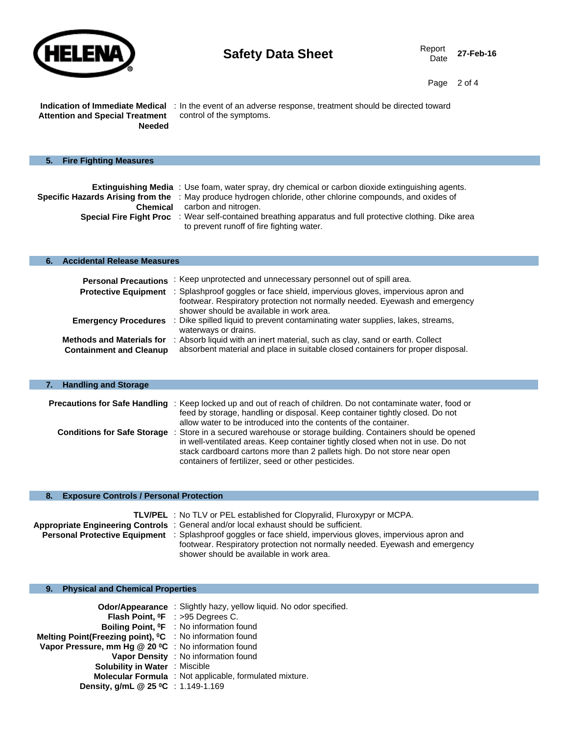

ı

Page 2 of 4

**Attention and Special Treatment Needed**

**Indication of Immediate Medical**  : In the event of an adverse response, treatment should be directed toward control of the symptoms.

| 5. | <b>Fire Fighting Measures</b> |                                                                                                                                                                                                                                                                                                                                                                                                                 |
|----|-------------------------------|-----------------------------------------------------------------------------------------------------------------------------------------------------------------------------------------------------------------------------------------------------------------------------------------------------------------------------------------------------------------------------------------------------------------|
|    | <b>Chemical</b>               | <b>Extinguishing Media</b> : Use foam, water spray, dry chemical or carbon dioxide extinguishing agents.<br>Specific Hazards Arising from the : May produce hydrogen chloride, other chlorine compounds, and oxides of<br>carbon and nitrogen.<br><b>Special Fire Fight Proc</b> : Wear self-contained breathing apparatus and full protective clothing. Dike area<br>to prevent runoff of fire fighting water. |

## **6. Accidental Release Measures**

| <b>Personal Precautions</b>                                        | : Keep unprotected and unnecessary personnel out of spill area.                                                                                                                                                                      |
|--------------------------------------------------------------------|--------------------------------------------------------------------------------------------------------------------------------------------------------------------------------------------------------------------------------------|
|                                                                    | <b>Protective Equipment</b> : Splashproof goggles or face shield, impervious gloves, impervious apron and<br>footwear. Respiratory protection not normally needed. Eyewash and emergency<br>shower should be available in work area. |
| <b>Emergency Procedures</b>                                        | : Dike spilled liquid to prevent contaminating water supplies, lakes, streams,<br>waterways or drains.                                                                                                                               |
| <b>Methods and Materials for</b><br><b>Containment and Cleanup</b> | : Absorb liquid with an inert material, such as clay, sand or earth. Collect<br>absorbent material and place in suitable closed containers for proper disposal.                                                                      |

|  | <b>Handling and Storage</b> |
|--|-----------------------------|
|  |                             |

| <b>Precautions for Safe Handling</b> : Keep locked up and out of reach of children. Do not contaminate water, food or |
|-----------------------------------------------------------------------------------------------------------------------|
| feed by storage, handling or disposal. Keep container tightly closed. Do not                                          |
| allow water to be introduced into the contents of the container.                                                      |
| <b>Conditions for Safe Storage</b> : Store in a secured warehouse or storage building. Containers should be opened    |
| in well-ventilated areas. Keep container tightly closed when not in use. Do not                                       |
| stack cardboard cartons more than 2 pallets high. Do not store near open                                              |
| containers of fertilizer, seed or other pesticides.                                                                   |

## **8. Exposure Controls / Personal Protection**

| <b>TLV/PEL</b> : No TLV or PEL established for Clopyralid, Fluroxypyr or MCPA.                                     |
|--------------------------------------------------------------------------------------------------------------------|
| Appropriate Engineering Controls: General and/or local exhaust should be sufficient.                               |
| <b>Personal Protective Equipment</b> : Splashproof goggles or face shield, impervious gloves, impervious apron and |
| footwear. Respiratory protection not normally needed. Eyewash and emergency                                        |
| shower should be available in work area.                                                                           |

# **9. Physical and Chemical Properties**

|                                                                      | Odor/Appearance : Slightly hazy, yellow liquid. No odor specified. |
|----------------------------------------------------------------------|--------------------------------------------------------------------|
|                                                                      | Flash Point, <sup>o</sup> F : >95 Degrees C.                       |
|                                                                      | Boiling Point, <sup>o</sup> F : No information found               |
| Melting Point(Freezing point), <sup>o</sup> C : No information found |                                                                    |
| Vapor Pressure, mm Hg @ 20 °C : No information found                 |                                                                    |
|                                                                      | Vapor Density : No information found                               |
| <b>Solubility in Water : Miscible</b>                                |                                                                    |
|                                                                      | <b>Molecular Formula</b> : Not applicable, formulated mixture.     |
| Density, g/mL @ 25 °C : 1.149-1.169                                  |                                                                    |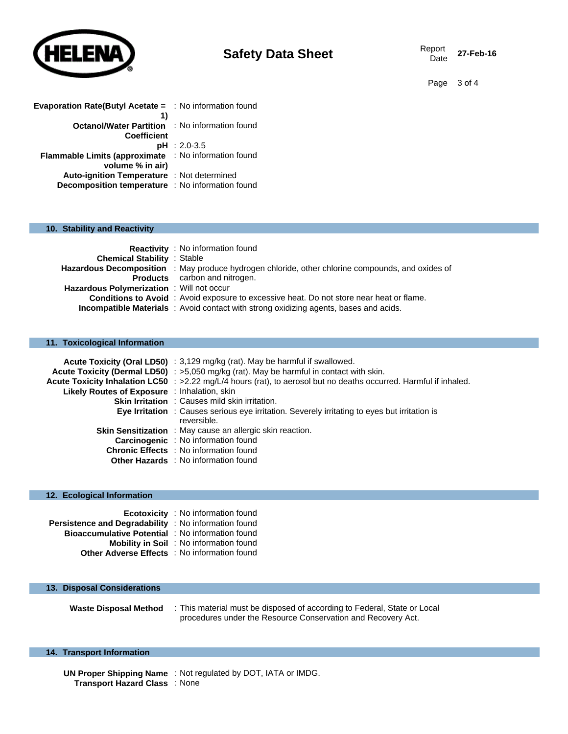

27-Feb-16

Page 3 of 4

| <b>Evaporation Rate(Butyl Acetate = : No information found</b> |                        |
|----------------------------------------------------------------|------------------------|
| 1)                                                             |                        |
| <b>Octanol/Water Partition</b>                                 | : No information found |
| Coefficient                                                    |                        |
|                                                                | $pH : 2.0 - 3.5$       |
| Flammable Limits (approximate : No information found           |                        |
| volume % in air)                                               |                        |
| <b>Auto-ignition Temperature</b> : Not determined              |                        |
| Decomposition temperature : No information found               |                        |

#### **10. Stability and Reactivity**

|                                                  | <b>Reactivity</b> : No information found                                                                |
|--------------------------------------------------|---------------------------------------------------------------------------------------------------------|
| <b>Chemical Stability : Stable</b>               |                                                                                                         |
|                                                  | <b>Hazardous Decomposition</b> : May produce hydrogen chloride, other chlorine compounds, and oxides of |
|                                                  | <b>Products</b> carbon and nitrogen.                                                                    |
| <b>Hazardous Polymerization</b> : Will not occur |                                                                                                         |
|                                                  | <b>Conditions to Avoid</b> : Avoid exposure to excessive heat. Do not store near heat or flame.         |
|                                                  | <b>Incompatible Materials</b> : Avoid contact with strong oxidizing agents, bases and acids.            |

## **11. Toxicological Information**

|                                              | Acute Toxicity (Oral LD50) : 3,129 mg/kg (rat). May be harmful if swallowed.<br>Acute Toxicity (Dermal LD50) : >5,050 mg/kg (rat). May be harmful in contact with skin. |
|----------------------------------------------|-------------------------------------------------------------------------------------------------------------------------------------------------------------------------|
|                                              | Acute Toxicity Inhalation LC50 : >2.22 mg/L/4 hours (rat), to aerosol but no deaths occurred. Harmful if inhaled.                                                       |
| Likely Routes of Exposure : Inhalation, skin |                                                                                                                                                                         |
|                                              | <b>Skin Irritation</b> : Causes mild skin irritation.                                                                                                                   |
|                                              | <b>Eye Irritation</b> : Causes serious eye irritation. Severely irritating to eyes but irritation is                                                                    |
|                                              | reversible.                                                                                                                                                             |
|                                              | <b>Skin Sensitization</b> : May cause an allergic skin reaction.                                                                                                        |
|                                              | <b>Carcinogenic</b> : No information found                                                                                                                              |
|                                              | <b>Chronic Effects</b> : No information found                                                                                                                           |
|                                              | Other Hazards : No information found                                                                                                                                    |

#### **12. Ecological Information**

|                                                             | <b>Ecotoxicity</b> : No information found      |
|-------------------------------------------------------------|------------------------------------------------|
| <b>Persistence and Degradability</b> : No information found |                                                |
| <b>Bioaccumulative Potential : No information found</b>     |                                                |
|                                                             | <b>Mobility in Soil</b> : No information found |
| <b>Other Adverse Effects</b> : No information found         |                                                |

#### **13. Disposal Considerations**

**Waste Disposal Method** : This material must be disposed of according to Federal, State or Local procedures under the Resource Conservation and Recovery Act.

## **14. Transport Information**

**UN Proper Shipping Name** : Not regulated by DOT, IATA or IMDG. **Transport Hazard Class** : None